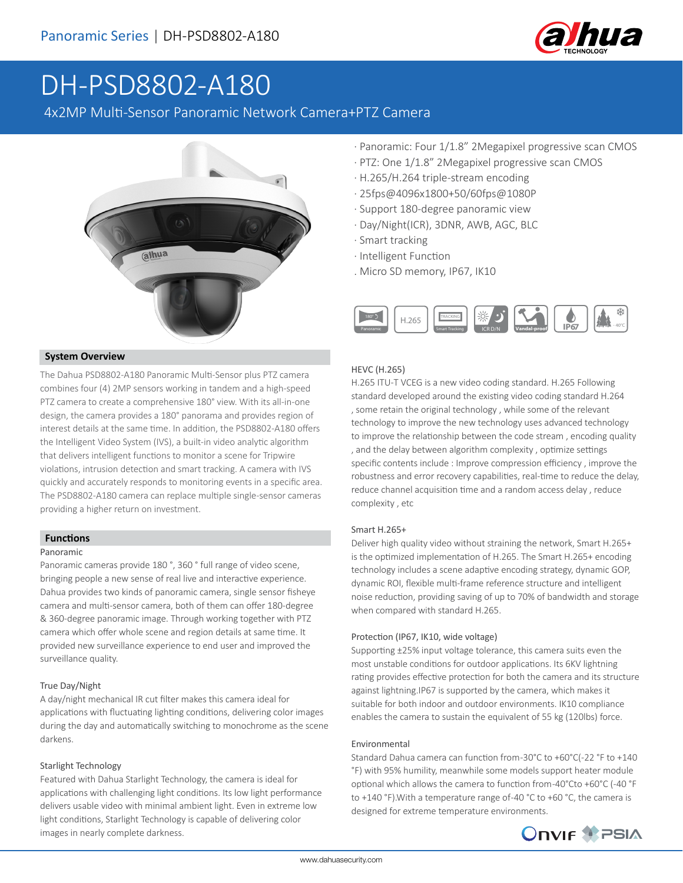

# DH-PSD8802-A180

4x2MP Multi-Sensor Panoramic Network Camera+PTZ Camera



#### **System Overview**

The Dahua PSD8802-A180 Panoramic Multi-Sensor plus PTZ camera combines four (4) 2MP sensors working in tandem and a high-speed PTZ camera to create a comprehensive 180° view. With its all-in-one design, the camera provides a 180° panorama and provides region of interest details at the same time. In addition, the PSD8802-A180 offers the Intelligent Video System (IVS), a built-in video analytic algorithm that delivers intelligent functions to monitor a scene for Tripwire violations, intrusion detection and smart tracking. A camera with IVS quickly and accurately responds to monitoring events in a specific area. The PSD8802-A180 camera can replace multiple single-sensor cameras providing a higher return on investment.

#### **Functions**

#### Panoramic

Panoramic cameras provide 180 °, 360 ° full range of video scene, bringing people a new sense of real live and interactive experience. Dahua provides two kinds of panoramic camera, single sensor fisheye camera and multi-sensor camera, both of them can offer 180-degree & 360-degree panoramic image. Through working together with PTZ camera which offer whole scene and region details at same time. It provided new surveillance experience to end user and improved the surveillance quality.

#### True Day/Night

A day/night mechanical IR cut filter makes this camera ideal for applications with fluctuating lighting conditions, delivering color images during the day and automatically switching to monochrome as the scene darkens.

#### Starlight Technology

Featured with Dahua Starlight Technology, the camera is ideal for applications with challenging light conditions. Its low light performance delivers usable video with minimal ambient light. Even in extreme low light conditions, Starlight Technology is capable of delivering color images in nearly complete darkness.

- · Panoramic: Four 1/1.8" 2Megapixel progressive scan CMOS
- · PTZ: One 1/1.8" 2Megapixel progressive scan CMOS
- · H.265/H.264 triple-stream encoding
- · 25fps@4096x1800+50/60fps@1080P
- · Support 180-degree panoramic view
- · Day/Night(ICR), 3DNR, AWB, AGC, BLC
- · Smart tracking
- · Intelligent Function
- . Micro SD memory, IP67, IK10



#### HEVC (H.265)

H.265 ITU-T VCEG is a new video coding standard. H.265 Following standard developed around the existing video coding standard H.264 , some retain the original technology , while some of the relevant technology to improve the new technology uses advanced technology to improve the relationship between the code stream , encoding quality , and the delay between algorithm complexity , optimize settings specific contents include : Improve compression efficiency , improve the robustness and error recovery capabilities, real-time to reduce the delay, reduce channel acquisition time and a random access delay , reduce complexity , etc

#### Smart H.265+

Deliver high quality video without straining the network, Smart H.265+ is the optimized implementation of H.265. The Smart H.265+ encoding technology includes a scene adaptive encoding strategy, dynamic GOP, dynamic ROI, flexible multi-frame reference structure and intelligent noise reduction, providing saving of up to 70% of bandwidth and storage when compared with standard H.265.

#### Protection (IP67, IK10, wide voltage)

Supporting ±25% input voltage tolerance, this camera suits even the most unstable conditions for outdoor applications. Its 6KV lightning rating provides effective protection for both the camera and its structure against lightning.IP67 is supported by the camera, which makes it suitable for both indoor and outdoor environments. IK10 compliance enables the camera to sustain the equivalent of 55 kg (120lbs) force.

#### Environmental

Standard Dahua camera can function from -30°C to +60°C(-22 °F to +140 °F) with 95% humility, meanwhile some models support heater module optional which allows the camera to function from -40°Cto +60°C (-40 °F to +140 °F).With a temperature range of -40 °C to +60 °C, the camera is designed for extreme temperature environments.

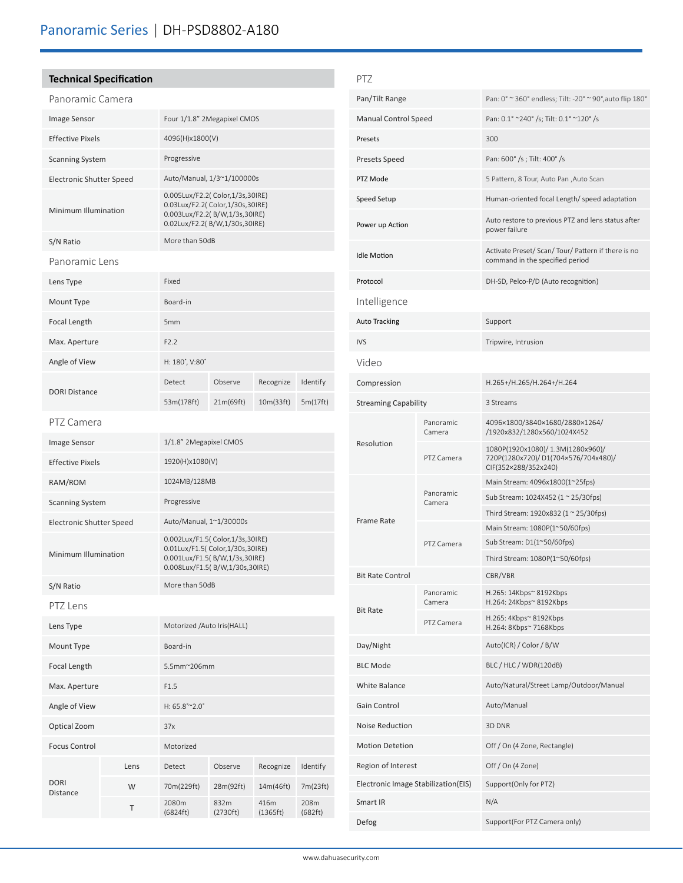### **Technical Specification**

| Panoramic Camera         |      |                                                                                                                                         |                   |                  |                 |  |
|--------------------------|------|-----------------------------------------------------------------------------------------------------------------------------------------|-------------------|------------------|-----------------|--|
| Image Sensor             |      | Four 1/1.8" 2Megapixel CMOS                                                                                                             |                   |                  |                 |  |
| <b>Effective Pixels</b>  |      | 4096(H)x1800(V)                                                                                                                         |                   |                  |                 |  |
| <b>Scanning System</b>   |      | Progressive                                                                                                                             |                   |                  |                 |  |
| Electronic Shutter Speed |      | Auto/Manual, 1/3~1/100000s                                                                                                              |                   |                  |                 |  |
| Minimum Illumination     |      | 0.005Lux/F2.2( Color,1/3s,30IRE)<br>0.03Lux/F2.2( Color,1/30s,30IRE)<br>0.003Lux/F2.2(B/W,1/3s,30IRE)<br>0.02Lux/F2.2(B/W,1/30s,30IRE)  |                   |                  |                 |  |
| S/N Ratio                |      | More than 50dB                                                                                                                          |                   |                  |                 |  |
| Panoramic Lens           |      |                                                                                                                                         |                   |                  |                 |  |
| Lens Type                |      | Fixed                                                                                                                                   |                   |                  |                 |  |
| Mount Type               |      | Board-in                                                                                                                                |                   |                  |                 |  |
| Focal Length             |      | 5 <sub>mm</sub>                                                                                                                         |                   |                  |                 |  |
| Max. Aperture            |      | F2.2                                                                                                                                    |                   |                  |                 |  |
| Angle of View            |      | H: 180°, V:80°                                                                                                                          |                   |                  |                 |  |
|                          |      | Detect                                                                                                                                  | Observe           | Recognize        | Identify        |  |
| <b>DORI Distance</b>     |      | 53m(178ft)                                                                                                                              | 21m(69ft)         | 10m(33ft)        | 5m(17ft)        |  |
| PTZ Camera               |      |                                                                                                                                         |                   |                  |                 |  |
| Image Sensor             |      | 1/1.8" 2Megapixel CMOS                                                                                                                  |                   |                  |                 |  |
| <b>Effective Pixels</b>  |      | 1920(H)x1080(V)                                                                                                                         |                   |                  |                 |  |
| RAM/ROM                  |      | 1024MB/128MB                                                                                                                            |                   |                  |                 |  |
| <b>Scanning System</b>   |      | Progressive                                                                                                                             |                   |                  |                 |  |
| Electronic Shutter Speed |      | Auto/Manual, 1~1/30000s                                                                                                                 |                   |                  |                 |  |
| Minimum Illumination     |      | 0.002Lux/F1.5( Color,1/3s,30IRE)<br>0.01Lux/F1.5( Color,1/30s,30IRE)<br>0.001Lux/F1.5(B/W,1/3s,30IRE)<br>0.008Lux/F1.5(B/W,1/30s,30IRE) |                   |                  |                 |  |
| S/N Ratio                |      | More than 50dB                                                                                                                          |                   |                  |                 |  |
| PTZ Lens                 |      |                                                                                                                                         |                   |                  |                 |  |
| Lens Type                |      | Motorized /Auto Iris(HALL)                                                                                                              |                   |                  |                 |  |
| Mount Type               |      | Board-in                                                                                                                                |                   |                  |                 |  |
| Focal Length             |      | 5.5mm~206mm                                                                                                                             |                   |                  |                 |  |
| Max. Aperture            |      | F1.5                                                                                                                                    |                   |                  |                 |  |
| Angle of View            |      | $H: 65.8^{\circ}$ ~ 2.0°                                                                                                                |                   |                  |                 |  |
| Optical Zoom             |      | 37x                                                                                                                                     |                   |                  |                 |  |
| <b>Focus Control</b>     |      | Motorized                                                                                                                               |                   |                  |                 |  |
| <b>DORI</b><br>Distance  | Lens | Detect                                                                                                                                  | Observe           | Recognize        | Identify        |  |
|                          | W    | 70m(229ft)                                                                                                                              | 28m(92ft)         | 14m(46ft)        | 7m(23ft)        |  |
|                          | Τ    | 2080m<br>(6824 ft)                                                                                                                      | 832m<br>(2730 ft) | 416m<br>(1365ft) | 208m<br>(682ft) |  |

| PTZ                                 |                     |                                                                                                 |  |  |
|-------------------------------------|---------------------|-------------------------------------------------------------------------------------------------|--|--|
| Pan/Tilt Range                      |                     | Pan: 0° ~ 360° endless; Tilt: -20° ~ 90°, auto flip 180°                                        |  |  |
| <b>Manual Control Speed</b>         |                     | Pan: 0.1° ~240° /s; Tilt: 0.1° ~120° /s                                                         |  |  |
| Presets                             |                     | 300                                                                                             |  |  |
| Presets Speed                       |                     | Pan: 600° /s; Tilt: 400° /s                                                                     |  |  |
| PTZ Mode                            |                     | 5 Pattern, 8 Tour, Auto Pan , Auto Scan                                                         |  |  |
| Speed Setup                         |                     | Human-oriented focal Length/ speed adaptation                                                   |  |  |
| Power up Action                     |                     | Auto restore to previous PTZ and lens status after<br>power failure                             |  |  |
| <b>Idle Motion</b>                  |                     | Activate Preset/ Scan/ Tour/ Pattern if there is no<br>command in the specified period          |  |  |
| Protocol                            |                     | DH-SD, Pelco-P/D (Auto recognition)                                                             |  |  |
| Intelligence                        |                     |                                                                                                 |  |  |
| <b>Auto Tracking</b>                |                     | Support                                                                                         |  |  |
| <b>IVS</b>                          |                     | Tripwire, Intrusion                                                                             |  |  |
| Video                               |                     |                                                                                                 |  |  |
| Compression                         |                     | H.265+/H.265/H.264+/H.264                                                                       |  |  |
| <b>Streaming Capability</b>         |                     | 3 Streams                                                                                       |  |  |
|                                     | Panoramic<br>Camera | 4096×1800/3840×1680/2880×1264/<br>/1920x832/1280x560/1024X452                                   |  |  |
| Resolution                          | PTZ Camera          | 1080P(1920x1080)/1.3M(1280x960)/<br>720P(1280x720)/D1(704x576/704x480)/<br>CIF(352×288/352x240) |  |  |
|                                     |                     | Main Stream: 4096x1800(1~25fps)                                                                 |  |  |
|                                     | Panoramic<br>Camera | Sub Stream: 1024X452 (1 ~ 25/30fps)                                                             |  |  |
| <b>Frame Rate</b>                   |                     | Third Stream: 1920x832 (1 ~ 25/30fps)<br>Main Stream: 1080P(1~50/60fps)                         |  |  |
|                                     | PTZ Camera          | Sub Stream: $D1(1^{\sim}50/60$ fps)                                                             |  |  |
|                                     |                     | Third Stream: 1080P(1~50/60fps)                                                                 |  |  |
| <b>Bit Rate Control</b>             |                     | CBR/VBR                                                                                         |  |  |
| <b>Bit Rate</b>                     | Panoramic<br>Camera | H.265: 14Kbps~ 8192Kbps<br>H.264: 24Kbps~ 8192Kbps                                              |  |  |
|                                     | PTZ Camera          | H.265: 4Kbps~ 8192Kbps<br>H.264: 8Kbps~ 7168Kbps                                                |  |  |
| Day/Night                           |                     | Auto(ICR) / Color / B/W                                                                         |  |  |
| <b>BLC Mode</b>                     |                     | BLC / HLC / WDR(120dB)                                                                          |  |  |
| White Balance                       |                     | Auto/Natural/Street Lamp/Outdoor/Manual                                                         |  |  |
| Gain Control                        |                     | Auto/Manual                                                                                     |  |  |
| Noise Reduction                     |                     | 3D DNR                                                                                          |  |  |
| <b>Motion Detetion</b>              |                     | Off / On (4 Zone, Rectangle)                                                                    |  |  |
| Region of Interest                  |                     | Off / On (4 Zone)                                                                               |  |  |
| Electronic Image Stabilization(EIS) |                     | Support(Only for PTZ)                                                                           |  |  |
| Smart IR                            |                     | N/A                                                                                             |  |  |
| Defog                               |                     | Support(For PTZ Camera only)                                                                    |  |  |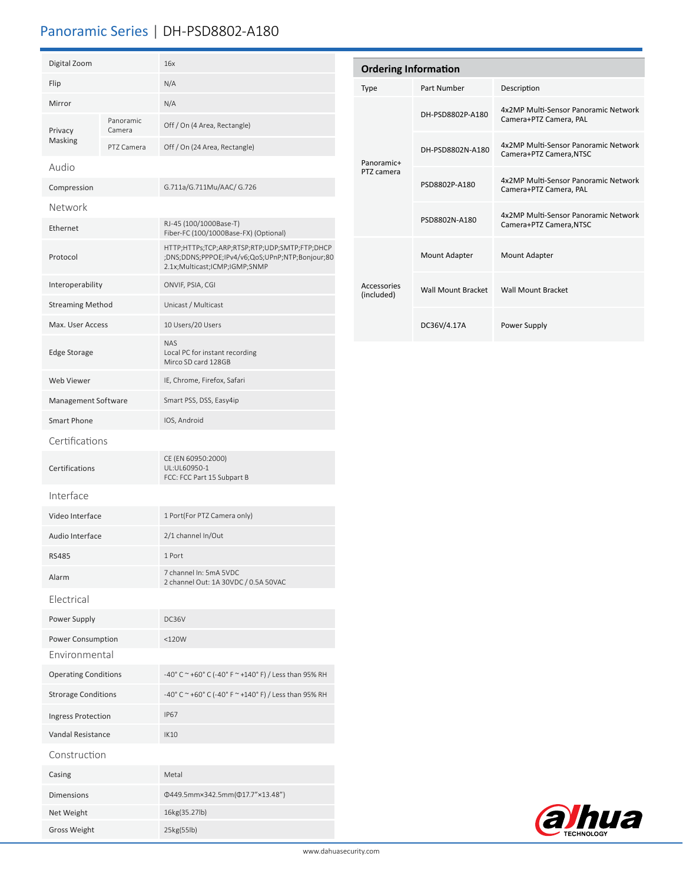## Panoramic Series | DH-PSD8802-A180

| Digital Zoom                       |                     | 16x                                                                                                                               |  |  |
|------------------------------------|---------------------|-----------------------------------------------------------------------------------------------------------------------------------|--|--|
| Flip                               |                     | N/A                                                                                                                               |  |  |
| Mirror                             |                     | N/A                                                                                                                               |  |  |
| Privacy<br>Masking                 | Panoramic<br>Camera | Off / On (4 Area, Rectangle)                                                                                                      |  |  |
|                                    | PTZ Camera          | Off / On (24 Area, Rectangle)                                                                                                     |  |  |
| Audio                              |                     |                                                                                                                                   |  |  |
| Compression                        |                     | G.711a/G.711Mu/AAC/ G.726                                                                                                         |  |  |
| Network                            |                     |                                                                                                                                   |  |  |
| Ethernet                           |                     | RJ-45 (100/1000Base-T)<br>Fiber-FC (100/1000Base-FX) (Optional)                                                                   |  |  |
| Protocol                           |                     | HTTP;HTTPs;TCP;ARP;RTSP;RTP;UDP;SMTP;FTP;DHCP<br>;DNS;DDNS;PPPOE;IPv4/v6;QoS;UPnP;NTP;Bonjour;80<br>2.1x;Multicast;ICMP;IGMP;SNMP |  |  |
| Interoperability                   |                     | ONVIF, PSIA, CGI                                                                                                                  |  |  |
| <b>Streaming Method</b>            |                     | Unicast / Multicast                                                                                                               |  |  |
| Max. User Access                   |                     | 10 Users/20 Users                                                                                                                 |  |  |
| <b>Edge Storage</b>                |                     | <b>NAS</b><br>Local PC for instant recording<br>Mirco SD card 128GB                                                               |  |  |
| <b>Web Viewer</b>                  |                     | IE, Chrome, Firefox, Safari                                                                                                       |  |  |
| Management Software                |                     | Smart PSS, DSS, Easy4ip                                                                                                           |  |  |
| <b>Smart Phone</b>                 |                     | IOS, Android                                                                                                                      |  |  |
| Certifications                     |                     |                                                                                                                                   |  |  |
| Certifications                     |                     | CE (EN 60950:2000)<br>UL:UL60950-1<br>FCC: FCC Part 15 Subpart B                                                                  |  |  |
| Interface                          |                     |                                                                                                                                   |  |  |
| Video Interface                    |                     | 1 Port(For PTZ Camera only)                                                                                                       |  |  |
| Audio Interface                    |                     | 2/1 channel In/Out                                                                                                                |  |  |
| <b>RS485</b>                       |                     | 1 Port                                                                                                                            |  |  |
| Alarm                              |                     | 7 channel In: 5mA 5VDC<br>2 channel Out: 1A 30VDC / 0.5A 50VAC                                                                    |  |  |
| Electrical                         |                     |                                                                                                                                   |  |  |
| Power Supply                       |                     | DC36V                                                                                                                             |  |  |
| Power Consumption<br>Environmental |                     | $<$ 120 $W$                                                                                                                       |  |  |
| <b>Operating Conditions</b>        |                     | -40° C ~ +60° C (-40° F ~ +140° F) / Less than 95% RH                                                                             |  |  |
| <b>Strorage Conditions</b>         |                     | -40° C ~ +60° C (-40° F ~ +140° F) / Less than 95% RH                                                                             |  |  |
| Ingress Protection                 |                     | <b>IP67</b>                                                                                                                       |  |  |
| Vandal Resistance                  |                     | <b>IK10</b>                                                                                                                       |  |  |
| Construction                       |                     |                                                                                                                                   |  |  |
| Casing                             |                     | Metal                                                                                                                             |  |  |
| <b>Dimensions</b>                  |                     | Φ449.5mm×342.5mm(Φ17.7"×13.48")                                                                                                   |  |  |
| Net Weight                         |                     | 16kg(35.27lb)                                                                                                                     |  |  |
| <b>Gross Weight</b>                |                     | 25kg(55lb)                                                                                                                        |  |  |

| <b>Ordering Information</b> |                    |                                                                 |  |  |  |
|-----------------------------|--------------------|-----------------------------------------------------------------|--|--|--|
| Type                        | Part Number        | Description                                                     |  |  |  |
| Panoramic+<br>PTZ camera    | DH-PSD8802P-A180   | 4x2MP Multi-Sensor Panoramic Network<br>Camera+PTZ Camera, PAL  |  |  |  |
|                             | DH-PSD8802N-A180   | 4x2MP Multi-Sensor Panoramic Network<br>Camera+PTZ Camera, NTSC |  |  |  |
|                             | PSD8802P-A180      | 4x2MP Multi-Sensor Panoramic Network<br>Camera+PTZ Camera, PAL  |  |  |  |
|                             | PSD8802N-A180      | 4x2MP Multi-Sensor Panoramic Network<br>Camera+PTZ Camera, NTSC |  |  |  |
| Accessories<br>(included)   | Mount Adapter      | Mount Adapter                                                   |  |  |  |
|                             | Wall Mount Bracket | <b>Wall Mount Bracket</b>                                       |  |  |  |
|                             | DC36V/4.17A        | Power Supply                                                    |  |  |  |